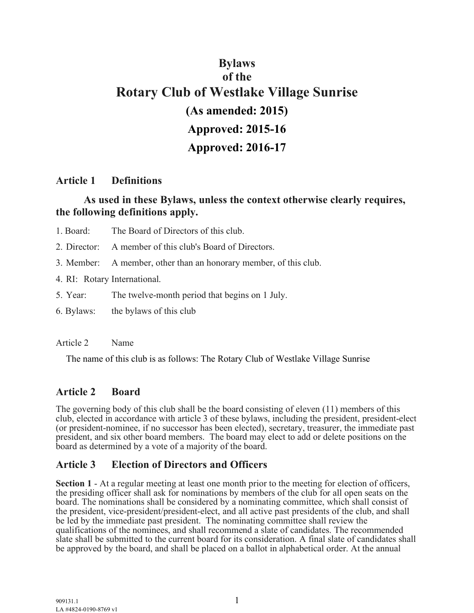# **Bylaws of the Rotary Club of Westlake Village Sunrise (As amended: 2015) Approved: 2015-16 Approved: 2016-17**

### **Article 1 Definitions**

## **As used in these Bylaws, unless the context otherwise clearly requires, the following definitions apply.**

- 1. Board: The Board of Directors of this club.
- 2. Director: A member of this club's Board of Directors.
- 3. Member: A member, other than an honorary member, of this club.
- 4. RI: Rotary International.
- 5. Year: The twelve-month period that begins on 1 July.
- 6. Bylaws: the bylaws of this club

#### Article 2 Name

The name of this club is as follows: The Rotary Club of Westlake Village Sunrise

## **Article 2 Board**

The governing body of this club shall be the board consisting of eleven (11) members of this club, elected in accordance with article 3 of these bylaws, including the president, president-elect (or president-nominee, if no successor has been elected), secretary, treasurer, the immediate past president, and six other board members. The board may elect to add or delete positions on the board as determined by a vote of a majority of the board.

## **Article 3 Election of Directors and Officers**

**Section 1** - At a regular meeting at least one month prior to the meeting for election of officers, the presiding officer shall ask for nominations by members of the club for all open seats on the board. The nominations shall be considered by a nominating committee, which shall consist of the president, vice-president/president-elect, and all active past presidents of the club, and shall be led by the immediate past president. The nominating committee shall review the qualifications of the nominees, and shall recommend a slate of candidates. The recommended slate shall be submitted to the current board for its consideration. A final slate of candidates shall be approved by the board, and shall be placed on a ballot in alphabetical order. At the annual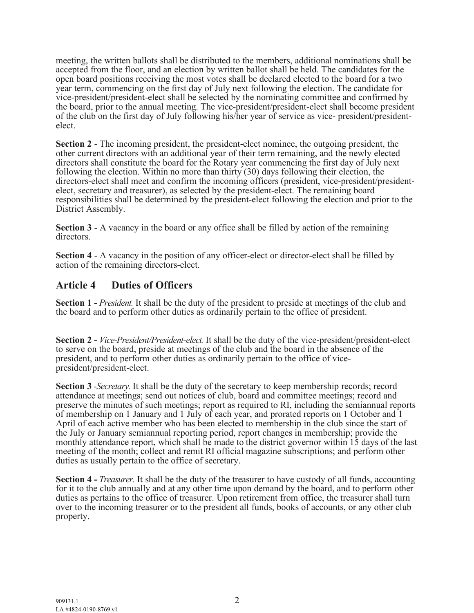meeting, the written ballots shall be distributed to the members, additional nominations shall be accepted from the floor, and an election by written ballot shall be held. The candidates for the open board positions receiving the most votes shall be declared elected to the board for a two year term, commencing on the first day of July next following the election. The candidate for vice-president/president-elect shall be selected by the nominating committee and confirmed by the board, prior to the annual meeting. The vice-president/president-elect shall become president of the club on the first day of July following his/her year of service as vice- president/presidentelect.

**Section 2** - The incoming president, the president-elect nominee, the outgoing president, the other current directors with an additional year of their term remaining, and the newly elected directors shall constitute the board for the Rotary year commencing the first day of July next following the election. Within no more than thirty (30) days following their election, the directors-elect shall meet and confirm the incoming officers (president, vice-president/presidentelect, secretary and treasurer), as selected by the president-elect. The remaining board responsibilities shall be determined by the president-elect following the election and prior to the District Assembly.

**Section 3** - A vacancy in the board or any office shall be filled by action of the remaining directors.

**Section 4** - A vacancy in the position of any officer-elect or director-elect shall be filled by action of the remaining directors-elect.

### **Article 4 Duties of Officers**

**Section 1 -** *President.* It shall be the duty of the president to preside at meetings of the club and the board and to perform other duties as ordinarily pertain to the office of president.

**Section 2 -** *Vice-President/President-elect.* It shall be the duty of the vice-president/president-elect to serve on the board, preside at meetings of the club and the board in the absence of the president, and to perform other duties as ordinarily pertain to the office of vicepresident/president-elect.

**Section 3** *-Secretary.* It shall be the duty of the secretary to keep membership records; record attendance at meetings; send out notices of club, board and committee meetings; record and preserve the minutes of such meetings; report as required to RI, including the semiannual reports of membership on 1 January and 1 July of each year, and prorated reports on 1 October and 1 April of each active member who has been elected to membership in the club since the start of the July or January semiannual reporting period, report changes in membership; provide the monthly attendance report, which shall be made to the district governor within 15 days of the last meeting of the month; collect and remit RI official magazine subscriptions; and perform other duties as usually pertain to the office of secretary.

**Section 4 -** *Treasurer.* It shall be the duty of the treasurer to have custody of all funds, accounting for it to the club annually and at any other time upon demand by the board, and to perform other duties as pertains to the office of treasurer. Upon retirement from office, the treasurer shall turn over to the incoming treasurer or to the president all funds, books of accounts, or any other club property.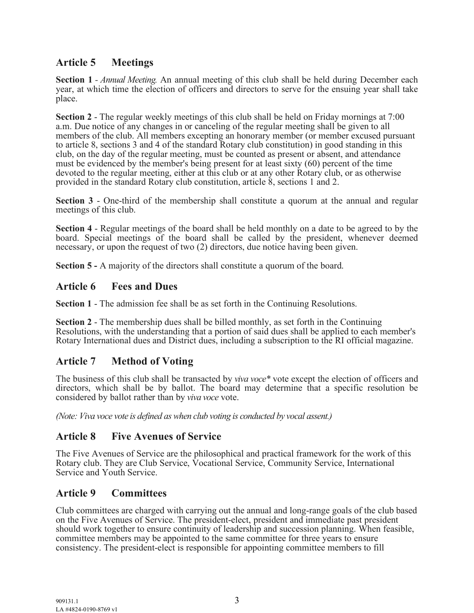## **Article 5 Meetings**

**Section 1** *- Annual Meeting.* An annual meeting of this club shall be held during December each year, at which time the election of officers and directors to serve for the ensuing year shall take place.

**Section 2** - The regular weekly meetings of this club shall be held on Friday mornings at 7:00 a.m. Due notice of any changes in or canceling of the regular meeting shall be given to all members of the club. All members excepting an honorary member (or member excused pursuant to article 8, sections 3 and 4 of the standard Rotary club constitution) in good standing in this club, on the day of the regular meeting, must be counted as present or absent, and attendance must be evidenced by the member's being present for at least sixty (60) percent of the time devoted to the regular meeting, either at this club or at any other Rotary club, or as otherwise provided in the standard Rotary club constitution, article 8, sections 1 and 2.

**Section 3** - One-third of the membership shall constitute a quorum at the annual and regular meetings of this club.

**Section 4** - Regular meetings of the board shall be held monthly on a date to be agreed to by the board. Special meetings of the board shall be called by the president, whenever deemed necessary, or upon the request of two (2) directors, due notice having been given.

**Section 5 -** A majority of the directors shall constitute a quorum of the board.

### **Article 6 Fees and Dues**

**Section 1** - The admission fee shall be as set forth in the Continuing Resolutions.

**Section 2** - The membership dues shall be billed monthly, as set forth in the Continuing Resolutions, with the understanding that a portion of said dues shall be applied to each member's Rotary International dues and District dues, including a subscription to the RI official magazine.

## **Article 7 Method of Voting**

The business of this club shall be transacted by *viva voce\** vote except the election of officers and directors, which shall be by ballot. The board may determine that a specific resolution be considered by ballot rather than by *viva voce* vote.

*(Note: Viva voce vote is defined as when club voting is conducted by vocal assent.)*

#### **Article 8 Five Avenues of Service**

The Five Avenues of Service are the philosophical and practical framework for the work of this Rotary club. They are Club Service, Vocational Service, Community Service, International Service and Youth Service.

## **Article 9 Committees**

Club committees are charged with carrying out the annual and long-range goals of the club based on the Five Avenues of Service. The president-elect, president and immediate past president should work together to ensure continuity of leadership and succession planning. When feasible, committee members may be appointed to the same committee for three years to ensure consistency. The president-elect is responsible for appointing committee members to fill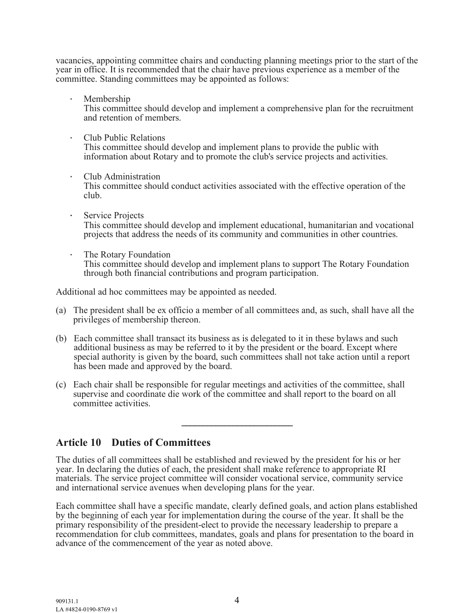vacancies, appointing committee chairs and conducting planning meetings prior to the start of the year in office. It is recommended that the chair have previous experience as a member of the committee. Standing committees may be appointed as follows:

· Membership

This committee should develop and implement a comprehensive plan for the recruitment and retention of members.

- · Club Public Relations This committee should develop and implement plans to provide the public with information about Rotary and to promote the club's service projects and activities.
- · Club Administration This committee should conduct activities associated with the effective operation of the club.
- · Service Projects This committee should develop and implement educational, humanitarian and vocational projects that address the needs of its community and communities in other countries.
- · The Rotary Foundation This committee should develop and implement plans to support The Rotary Foundation through both financial contributions and program participation.

Additional ad hoc committees may be appointed as needed.

- (a) The president shall be ex officio a member of all committees and, as such, shall have all the privileges of membership thereon.
- (b) Each committee shall transact its business as is delegated to it in these bylaws and such additional business as may be referred to it by the president or the board. Except where special authority is given by the board, such committees shall not take action until a report has been made and approved by the board.
- (c) Each chair shall be responsible for regular meetings and activities of the committee, shall supervise and coordinate die work of the committee and shall report to the board on all committee activities.

 $\_$ 

**Article 10 Duties of Committees**

The duties of all committees shall be established and reviewed by the president for his or her year. In declaring the duties of each, the president shall make reference to appropriate RI materials. The service project committee will consider vocational service, community service and international service avenues when developing plans for the year.

Each committee shall have a specific mandate, clearly defined goals, and action plans established by the beginning of each year for implementation during the course of the year. It shall be the primary responsibility of the president-elect to provide the necessary leadership to prepare a recommendation for club committees, mandates, goals and plans for presentation to the board in advance of the commencement of the year as noted above.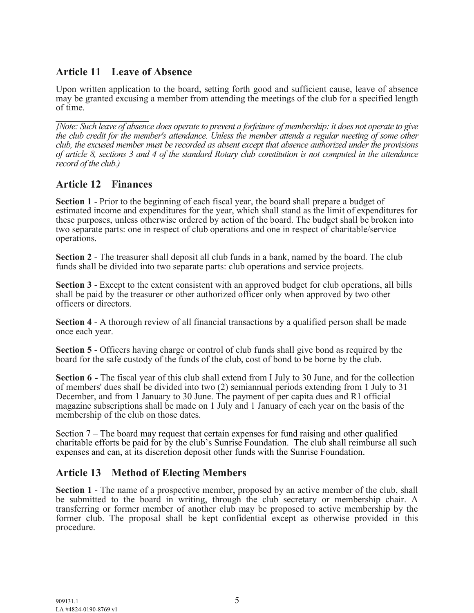## **Article 11 Leave of Absence**

Upon written application to the board, setting forth good and sufficient cause, leave of absence may be granted excusing a member from attending the meetings of the club for a specified length of time.

 $\overline{\phantom{a}}$  , where  $\overline{\phantom{a}}$ *{Note: Such leave of absence does operate to prevent a forfeiture of membership: it does not operate to give the club credit for the member's attendance. Unless the member attends a regular meeting of some other club, the excused member must be recorded as absent except that absence authorized under the provisions of article 8, sections 3 and 4 of the standard Rotary club constitution is not computed in the attendance record of the club.)*

## **Article 12 Finances**

**Section 1** - Prior to the beginning of each fiscal year, the board shall prepare a budget of estimated income and expenditures for the year, which shall stand as the limit of expenditures for these purposes, unless otherwise ordered by action of the board. The budget shall be broken into two separate parts: one in respect of club operations and one in respect of charitable/service operations.

**Section 2** - The treasurer shall deposit all club funds in a bank, named by the board. The club funds shall be divided into two separate parts: club operations and service projects.

**Section 3** - Except to the extent consistent with an approved budget for club operations, all bills shall be paid by the treasurer or other authorized officer only when approved by two other officers or directors.

**Section 4** - A thorough review of all financial transactions by a qualified person shall be made once each year.

**Section 5** - Officers having charge or control of club funds shall give bond as required by the board for the safe custody of the funds of the club, cost of bond to be borne by the club.

**Section 6** *-* The fiscal year of this club shall extend from I July to 30 June, and for the collection of members' dues shall be divided into two (2) semiannual periods extending from 1 July to 31 December, and from 1 January to 30 June. The payment of per capita dues and R1 official magazine subscriptions shall be made on 1 July and 1 January of each year on the basis of the membership of the club on those dates.

Section 7 – The board may request that certain expenses for fund raising and other qualified charitable efforts be paid for by the club's Sunrise Foundation. The club shall reimburse all such expenses and can, at its discretion deposit other funds with the Sunrise Foundation.

## **Article 13 Method of Electing Members**

**Section 1** - The name of a prospective member, proposed by an active member of the club, shall be submitted to the board in writing, through the club secretary or membership chair. A transferring or former member of another club may be proposed to active membership by the former club. The proposal shall be kept confidential except as otherwise provided in this procedure.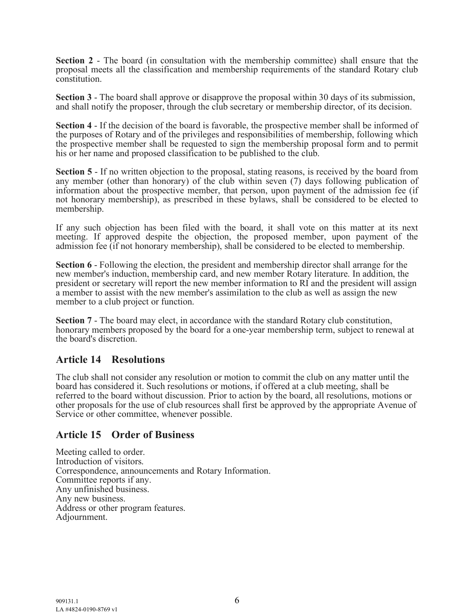**Section 2** - The board (in consultation with the membership committee) shall ensure that the proposal meets all the classification and membership requirements of the standard Rotary club constitution.

**Section 3** - The board shall approve or disapprove the proposal within 30 days of its submission, and shall notify the proposer, through the club secretary or membership director, of its decision.

**Section 4** - If the decision of the board is favorable, the prospective member shall be informed of the purposes of Rotary and of the privileges and responsibilities of membership, following which the prospective member shall be requested to sign the membership proposal form and to permit his or her name and proposed classification to be published to the club.

**Section 5** - If no written objection to the proposal, stating reasons, is received by the board from any member (other than honorary) of the club within seven (7) days following publication of information about the prospective member, that person, upon payment of the admission fee (if not honorary membership), as prescribed in these bylaws, shall be considered to be elected to membership.

If any such objection has been filed with the board, it shall vote on this matter at its next meeting. If approved despite the objection, the proposed member, upon payment of the admission fee (if not honorary membership), shall be considered to be elected to membership.

**Section 6** - Following the election, the president and membership director shall arrange for the new member's induction, membership card, and new member Rotary literature. In addition, the president or secretary will report the new member information to RI and the president will assign a member to assist with the new member's assimilation to the club as well as assign the new member to a club project or function.

**Section 7** - The board may elect, in accordance with the standard Rotary club constitution, honorary members proposed by the board for a one-year membership term, subject to renewal at the board's discretion.

#### **Article 14 Resolutions**

The club shall not consider any resolution or motion to commit the club on any matter until the board has considered it. Such resolutions or motions, if offered at a club meeting, shall be referred to the board without discussion. Prior to action by the board, all resolutions, motions or other proposals for the use of club resources shall first be approved by the appropriate Avenue of Service or other committee, whenever possible.

#### **Article 15 Order of Business**

Meeting called to order. Introduction of visitors. Correspondence, announcements and Rotary Information. Committee reports if any. Any unfinished business. Any new business. Address or other program features. Adjournment.